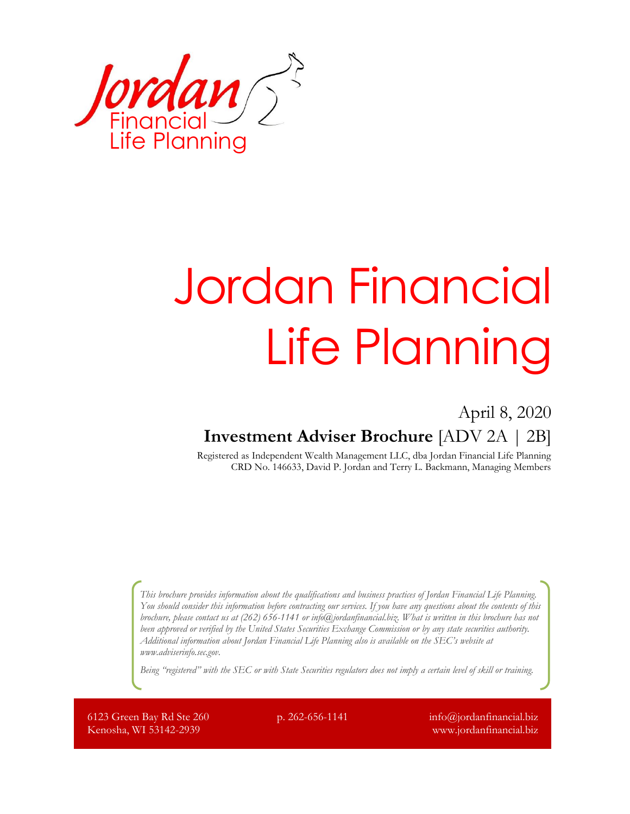

# Jordan Financial Life Planning

## April 8, 2020 **Investment Adviser Brochure** [ADV 2A | 2B]

Registered as Independent Wealth Management LLC, dba Jordan Financial Life Planning CRD No. 146633, David P. Jordan and Terry L. Backmann, Managing Members

*This brochure provides information about the qualifications and business practices of Jordan Financial Life Planning. You should consider this information before contracting our services. If you have any questions about the contents of this brochure, please contact us at (262) 656-1141 o[r info@jordanfinancial.biz.](mailto:info@jordanfinancial.biz?subject=Brochure%20Inquiry) What is written in this brochure has not been approved or verified by the United States Securities Exchange Commission or by any state securities authority. Additional information about Jordan Financial Life Planning also is available on the SEC's website at [www.adviserinfo.sec.gov.](http://www.adviserinfo.sec.gov/)*

*Being "registered" with the SEC or with State Securities regulators does not imply a certain level of skill or training.*

6123 Green Bay Rd Ste 260 Kenosha, WI 53142-2939

p. 262-656-1141  $info@jordan financial.biz$ www.jordanfinancial.biz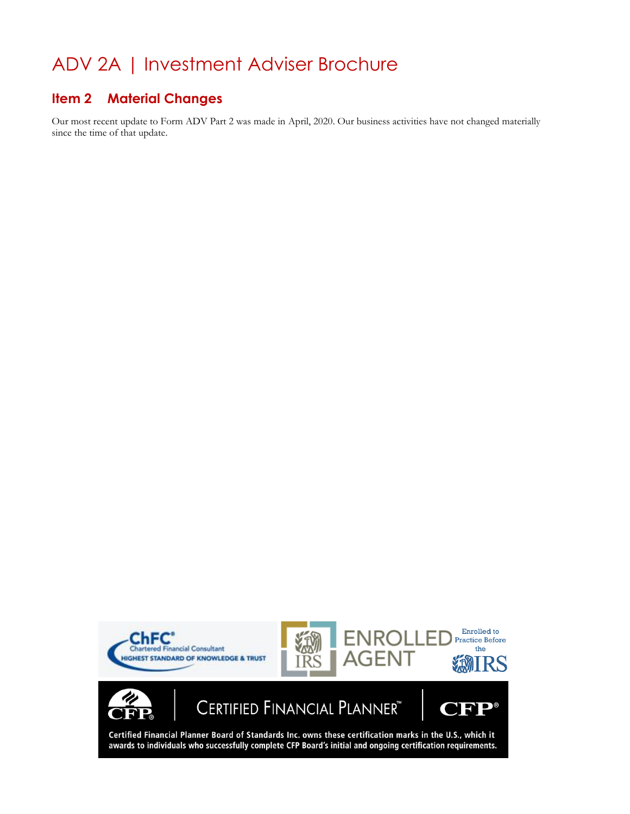# ADV 2A | Investment Adviser Brochure

## **Item 2 Material Changes**

Our most recent update to Form ADV Part 2 was made in April, 2020. Our business activities have not changed materially since the time of that update.

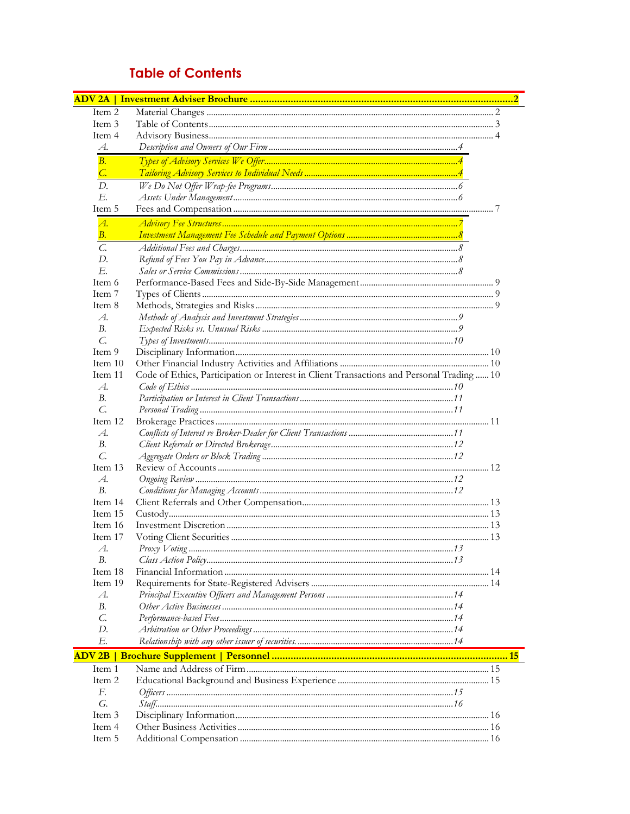## **Table of Contents**

| Item 2                  |                                                                                          |  |  |
|-------------------------|------------------------------------------------------------------------------------------|--|--|
| Item 3                  |                                                                                          |  |  |
| Item 4                  |                                                                                          |  |  |
| A.                      |                                                                                          |  |  |
| B.                      |                                                                                          |  |  |
| $C_{\cdot}$             |                                                                                          |  |  |
| D.                      |                                                                                          |  |  |
| E.                      |                                                                                          |  |  |
| Item 5                  |                                                                                          |  |  |
| $\overline{A}$ .        |                                                                                          |  |  |
| В.                      |                                                                                          |  |  |
| $\mathcal{C}$           |                                                                                          |  |  |
| D.                      |                                                                                          |  |  |
| E.                      |                                                                                          |  |  |
| Item 6                  |                                                                                          |  |  |
| Item 7                  |                                                                                          |  |  |
| Item 8                  |                                                                                          |  |  |
| $\mathcal{A}.$          |                                                                                          |  |  |
| В.                      |                                                                                          |  |  |
| C.                      |                                                                                          |  |  |
| Item 9                  |                                                                                          |  |  |
| Item 10                 |                                                                                          |  |  |
| Item 11                 | Code of Ethics, Participation or Interest in Client Transactions and Personal Trading 10 |  |  |
| A.<br>В.                |                                                                                          |  |  |
| $\overline{C}$ .        |                                                                                          |  |  |
| Item 12                 |                                                                                          |  |  |
| $\mathcal{A}.$          |                                                                                          |  |  |
| В.                      |                                                                                          |  |  |
| $\mathcal{C}$           |                                                                                          |  |  |
| Item 13                 |                                                                                          |  |  |
| A.                      |                                                                                          |  |  |
| B.                      |                                                                                          |  |  |
| Item 14                 |                                                                                          |  |  |
| Item 15                 |                                                                                          |  |  |
| Item 16                 |                                                                                          |  |  |
| Item 17                 |                                                                                          |  |  |
| A.                      | $Proxv$ Voting<br>13                                                                     |  |  |
| В.                      |                                                                                          |  |  |
| Item 18                 |                                                                                          |  |  |
| Item 19                 |                                                                                          |  |  |
| $A$ .                   |                                                                                          |  |  |
| В.                      |                                                                                          |  |  |
| C.                      |                                                                                          |  |  |
| D.<br>Е.                |                                                                                          |  |  |
|                         |                                                                                          |  |  |
| <b>ADV<sub>2B</sub></b> |                                                                                          |  |  |
| Item 1                  |                                                                                          |  |  |
| Item 2                  |                                                                                          |  |  |
| F.<br>$\mathcal{G}$ .   |                                                                                          |  |  |
| Item 3                  |                                                                                          |  |  |
| Item 4                  |                                                                                          |  |  |
| Item 5                  |                                                                                          |  |  |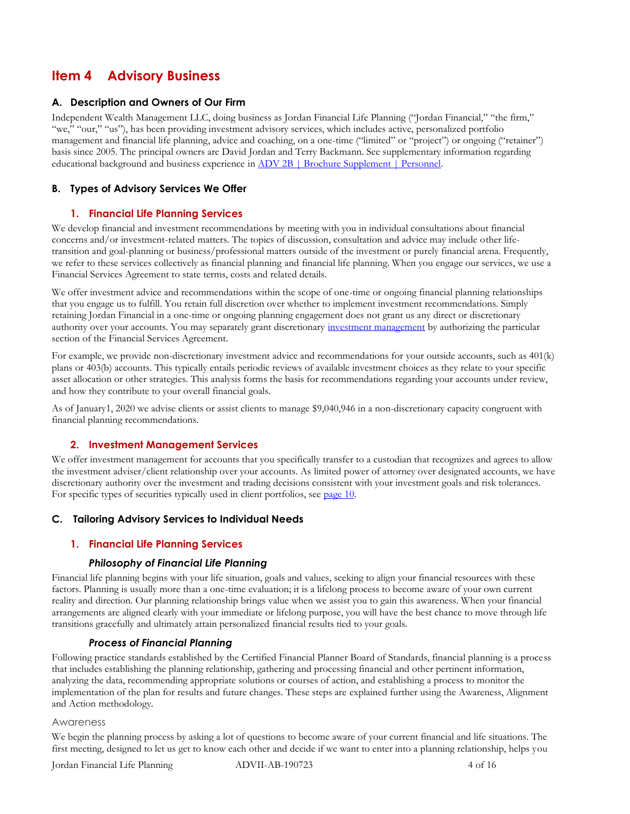## **Item 4 Advisory Business**

#### **A. Description and Owners of Our Firm**

Independent Wealth Management LLC, doing business as Jordan Financial Life Planning ("Jordan Financial," "the firm," "we," "our," "us"), has been providing investment advisory services, which includes active, personalized portfolio management and financial life planning, advice and coaching, on a one-time ("limited" or "project") or ongoing ("retainer") basis since 2005. The principal owners are David Jordan and Terry Backmann. See supplementary information regarding educational background and business experience in [ADV 2B | Brochure Supplement | Personnel.](#page-14-0)

## **B. Types of Advisory Services We Offer**

## **1. Financial Life Planning Services**

We develop financial and investment recommendations by meeting with you in individual consultations about financial concerns and/or investment-related matters. The topics of discussion, consultation and advice may include other lifetransition and goal-planning or business/professional matters outside of the investment or purely financial arena. Frequently, we refer to these services collectively as financial planning and financial life planning. When you engage our services, we use a Financial Services Agreement to state terms, costs and related details.

We offer investment advice and recommendations within the scope of one-time or ongoing financial planning relationships that you engage us to fulfill. You retain full discretion over whether to implement investment recommendations. Simply retaining Jordan Financial in a one-time or ongoing planning engagement does not grant us any direct or discretionary authority over your accounts. You may separately grant discretionary [investment management](#page-3-0) by authorizing the particular section of the Financial Services Agreement.

For example, we provide non-discretionary investment advice and recommendations for your outside accounts, such as 401(k) plans or 403(b) accounts. This typically entails periodic reviews of available investment choices as they relate to your specific asset allocation or other strategies. This analysis forms the basis for recommendations regarding your accounts under review, and how they contribute to your overall financial goals.

As of January1, 2020 we advise clients or assist clients to manage \$9,040,946 in a non-discretionary capacity congruent with financial planning recommendations.

#### <span id="page-3-0"></span>**2. Investment Management Services**

We offer investment management for accounts that you specifically transfer to a custodian that recognizes and agrees to allow the investment adviser/client relationship over your accounts. As limited power of attorney over designated accounts, we have discretionary authority over the investment and trading decisions consistent with your investment goals and risk tolerances. For specific types of securities typically used in client portfolios, se[e page 10.](#page-9-0)

#### <span id="page-3-1"></span>**C. Tailoring Advisory Services to Individual Needs**

## **1. Financial Life Planning Services**

#### *Philosophy of Financial Life Planning*

Financial life planning begins with your life situation, goals and values, seeking to align your financial resources with these factors. Planning is usually more than a one-time evaluation; it is a lifelong process to become aware of your own current reality and direction. Our planning relationship brings value when we assist you to gain this awareness. When your financial arrangements are aligned clearly with your immediate or lifelong purpose, you will have the best chance to move through life transitions gracefully and ultimately attain personalized financial results tied to your goals.

#### *Process of Financial Planning*

Following practice standards established by the Certified Financial Planner Board of Standards, financial planning is a process that includes establishing the planning relationship, gathering and processing financial and other pertinent information, analyzing the data, recommending appropriate solutions or courses of action, and establishing a process to monitor the implementation of the plan for results and future changes. These steps are explained further using the Awareness, Alignment and Action methodology.

#### Awareness

We begin the planning process by asking a lot of questions to become aware of your current financial and life situations. The first meeting, designed to let us get to know each other and decide if we want to enter into a planning relationship, helps you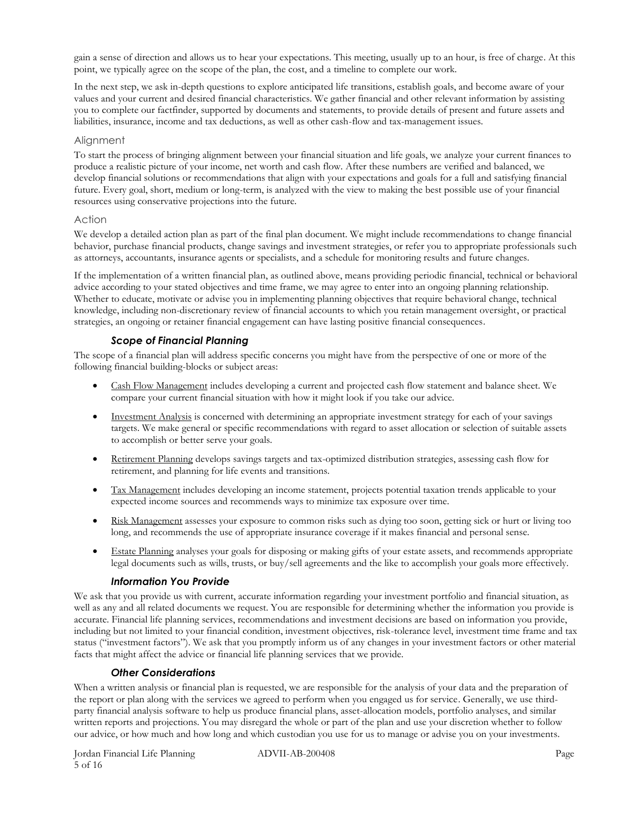gain a sense of direction and allows us to hear your expectations. This meeting, usually up to an hour, is free of charge. At this point, we typically agree on the scope of the plan, the cost, and a timeline to complete our work.

In the next step, we ask in-depth questions to explore anticipated life transitions, establish goals, and become aware of your values and your current and desired financial characteristics. We gather financial and other relevant information by assisting you to complete our factfinder, supported by documents and statements, to provide details of present and future assets and liabilities, insurance, income and tax deductions, as well as other cash-flow and tax-management issues.

#### Alignment

To start the process of bringing alignment between your financial situation and life goals, we analyze your current finances to produce a realistic picture of your income, net worth and cash flow. After these numbers are verified and balanced, we develop financial solutions or recommendations that align with your expectations and goals for a full and satisfying financial future. Every goal, short, medium or long-term, is analyzed with the view to making the best possible use of your financial resources using conservative projections into the future.

#### Action

We develop a detailed action plan as part of the final plan document. We might include recommendations to change financial behavior, purchase financial products, change savings and investment strategies, or refer you to appropriate professionals such as attorneys, accountants, insurance agents or specialists, and a schedule for monitoring results and future changes.

If the implementation of a written financial plan, as outlined above, means providing periodic financial, technical or behavioral advice according to your stated objectives and time frame, we may agree to enter into an ongoing planning relationship. Whether to educate, motivate or advise you in implementing planning objectives that require behavioral change, technical knowledge, including non-discretionary review of financial accounts to which you retain management oversight, or practical strategies, an ongoing or retainer financial engagement can have lasting positive financial consequences.

## *Scope of Financial Planning*

The scope of a financial plan will address specific concerns you might have from the perspective of one or more of the following financial building-blocks or subject areas:

- Cash Flow Management includes developing a current and projected cash flow statement and balance sheet. We compare your current financial situation with how it might look if you take our advice.
- Investment Analysis is concerned with determining an appropriate investment strategy for each of your savings targets. We make general or specific recommendations with regard to asset allocation or selection of suitable assets to accomplish or better serve your goals.
- Retirement Planning develops savings targets and tax-optimized distribution strategies, assessing cash flow for retirement, and planning for life events and transitions.
- Tax Management includes developing an income statement, projects potential taxation trends applicable to your expected income sources and recommends ways to minimize tax exposure over time.
- Risk Management assesses your exposure to common risks such as dying too soon, getting sick or hurt or living too long, and recommends the use of appropriate insurance coverage if it makes financial and personal sense.
- Estate Planning analyses your goals for disposing or making gifts of your estate assets, and recommends appropriate legal documents such as wills, trusts, or buy/sell agreements and the like to accomplish your goals more effectively.

#### *Information You Provide*

We ask that you provide us with current, accurate information regarding your investment portfolio and financial situation, as well as any and all related documents we request. You are responsible for determining whether the information you provide is accurate. Financial life planning services, recommendations and investment decisions are based on information you provide, including but not limited to your financial condition, investment objectives, risk-tolerance level, investment time frame and tax status ("investment factors"). We ask that you promptly inform us of any changes in your investment factors or other material facts that might affect the advice or financial life planning services that we provide.

## *Other Considerations*

When a written analysis or financial plan is requested, we are responsible for the analysis of your data and the preparation of the report or plan along with the services we agreed to perform when you engaged us for service. Generally, we use thirdparty financial analysis software to help us produce financial plans, asset-allocation models, portfolio analyses, and similar written reports and projections. You may disregard the whole or part of the plan and use your discretion whether to follow our advice, or how much and how long and which custodian you use for us to manage or advise you on your investments.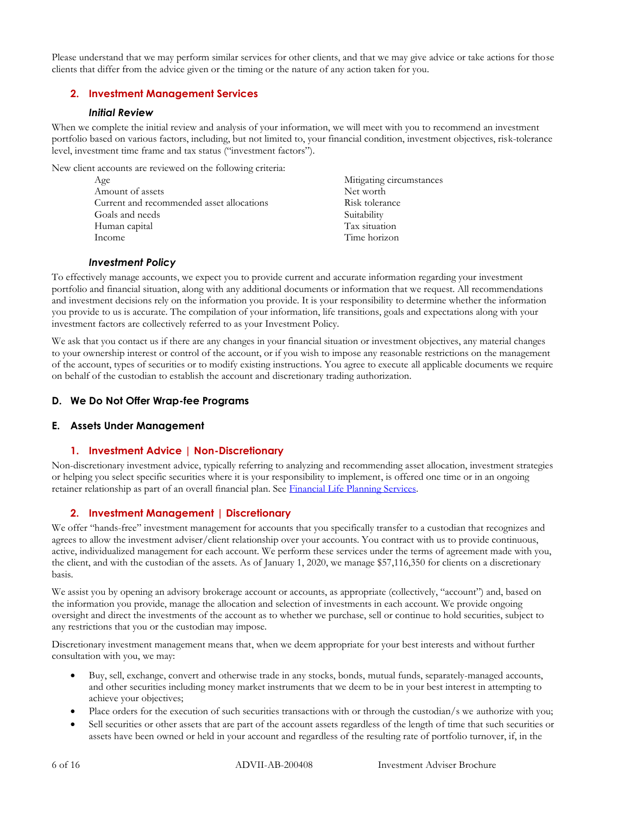Please understand that we may perform similar services for other clients, and that we may give advice or take actions for those clients that differ from the advice given or the timing or the nature of any action taken for you.

## **2. Investment Management Services**

#### *Initial Review*

When we complete the initial review and analysis of your information, we will meet with you to recommend an investment portfolio based on various factors, including, but not limited to, your financial condition, investment objectives, risk-tolerance level, investment time frame and tax status ("investment factors").

New client accounts are reviewed on the following criteria:

| Age                                       | Mitigating circumstances |
|-------------------------------------------|--------------------------|
| Amount of assets                          | Net worth                |
| Current and recommended asset allocations | Risk tolerance           |
| Goals and needs                           | Suitability              |
| Human capital                             | Tax situation            |
| Income                                    | Time horizon             |

#### *Investment Policy*

To effectively manage accounts, we expect you to provide current and accurate information regarding your investment portfolio and financial situation, along with any additional documents or information that we request. All recommendations and investment decisions rely on the information you provide. It is your responsibility to determine whether the information you provide to us is accurate. The compilation of your information, life transitions, goals and expectations along with your investment factors are collectively referred to as your Investment Policy.

We ask that you contact us if there are any changes in your financial situation or investment objectives, any material changes to your ownership interest or control of the account, or if you wish to impose any reasonable restrictions on the management of the account, types of securities or to modify existing instructions. You agree to execute all applicable documents we require on behalf of the custodian to establish the account and discretionary trading authorization.

## **D. We Do Not Offer Wrap-fee Programs**

## **E. Assets Under Management**

## **1. Investment Advice | Non-Discretionary**

Non-discretionary investment advice, typically referring to analyzing and recommending asset allocation, investment strategies or helping you select specific securities where it is your responsibility to implement, is offered one time or in an ongoing retainer relationship as part of an overall financial plan. See [Financial Life Planning](#page-3-1) Services.

## **2. Investment Management | Discretionary**

We offer "hands-free" investment management for accounts that you specifically transfer to a custodian that recognizes and agrees to allow the investment adviser/client relationship over your accounts. You contract with us to provide continuous, active, individualized management for each account. We perform these services under the terms of agreement made with you, the client, and with the custodian of the assets. As of January 1, 2020, we manage \$57,116,350 for clients on a discretionary basis.

We assist you by opening an advisory brokerage account or accounts, as appropriate (collectively, "account") and, based on the information you provide, manage the allocation and selection of investments in each account. We provide ongoing oversight and direct the investments of the account as to whether we purchase, sell or continue to hold securities, subject to any restrictions that you or the custodian may impose.

Discretionary investment management means that, when we deem appropriate for your best interests and without further consultation with you, we may:

- Buy, sell, exchange, convert and otherwise trade in any stocks, bonds, mutual funds, separately-managed accounts, and other securities including money market instruments that we deem to be in your best interest in attempting to achieve your objectives;
- Place orders for the execution of such securities transactions with or through the custodian/s we authorize with you;
- Sell securities or other assets that are part of the account assets regardless of the length of time that such securities or assets have been owned or held in your account and regardless of the resulting rate of portfolio turnover, if, in the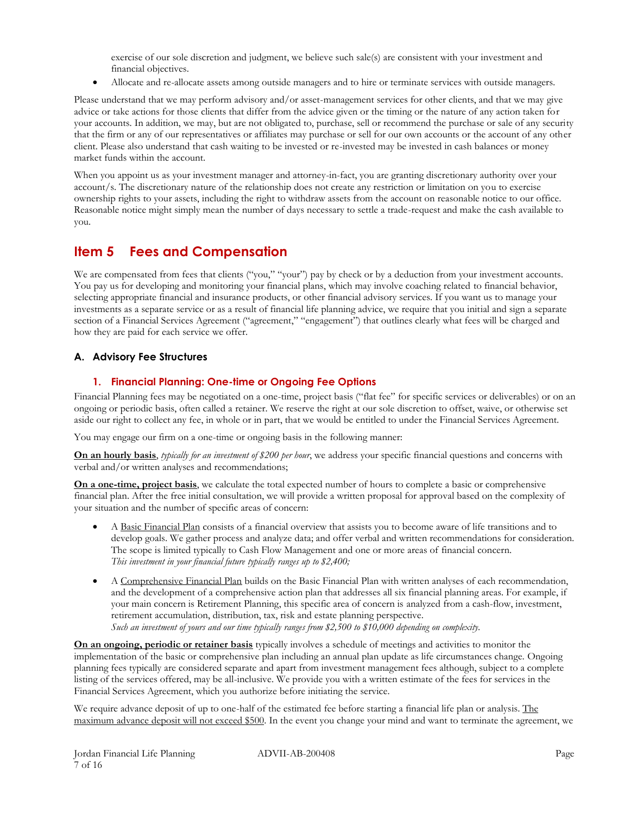exercise of our sole discretion and judgment, we believe such sale(s) are consistent with your investment and financial objectives.

• Allocate and re-allocate assets among outside managers and to hire or terminate services with outside managers.

Please understand that we may perform advisory and/or asset-management services for other clients, and that we may give advice or take actions for those clients that differ from the advice given or the timing or the nature of any action taken for your accounts. In addition, we may, but are not obligated to, purchase, sell or recommend the purchase or sale of any security that the firm or any of our representatives or affiliates may purchase or sell for our own accounts or the account of any other client. Please also understand that cash waiting to be invested or re-invested may be invested in cash balances or money market funds within the account.

When you appoint us as your investment manager and attorney-in-fact, you are granting discretionary authority over your account/s. The discretionary nature of the relationship does not create any restriction or limitation on you to exercise ownership rights to your assets, including the right to withdraw assets from the account on reasonable notice to our office. Reasonable notice might simply mean the number of days necessary to settle a trade-request and make the cash available to you.

## **Item 5 Fees and Compensation**

We are compensated from fees that clients ("you," "your") pay by check or by a deduction from your investment accounts. You pay us for developing and monitoring your financial plans, which may involve coaching related to financial behavior, selecting appropriate financial and insurance products, or other financial advisory services. If you want us to manage your investments as a separate service or as a result of financial life planning advice, we require that you initial and sign a separate section of a Financial Services Agreement ("agreement," "engagement") that outlines clearly what fees will be charged and how they are paid for each service we offer.

## **A. Advisory Fee Structures**

## **1. Financial Planning: One-time or Ongoing Fee Options**

Financial Planning fees may be negotiated on a one-time, project basis ("flat fee" for specific services or deliverables) or on an ongoing or periodic basis, often called a retainer. We reserve the right at our sole discretion to offset, waive, or otherwise set aside our right to collect any fee, in whole or in part, that we would be entitled to under the Financial Services Agreement.

You may engage our firm on a one-time or ongoing basis in the following manner:

**On an hourly basis**, *typically for an investment of \$200 per hour*, we address your specific financial questions and concerns with verbal and/or written analyses and recommendations;

**On a one-time, project basis**, we calculate the total expected number of hours to complete a basic or comprehensive financial plan. After the free initial consultation, we will provide a written proposal for approval based on the complexity of your situation and the number of specific areas of concern:

- A Basic Financial Plan consists of a financial overview that assists you to become aware of life transitions and to develop goals. We gather process and analyze data; and offer verbal and written recommendations for consideration. The scope is limited typically to Cash Flow Management and one or more areas of financial concern. *This investment in your financial future typically ranges up to \$2,400;*
- A Comprehensive Financial Plan builds on the Basic Financial Plan with written analyses of each recommendation, and the development of a comprehensive action plan that addresses all six financial planning areas. For example, if your main concern is Retirement Planning, this specific area of concern is analyzed from a cash-flow, investment, retirement accumulation, distribution, tax, risk and estate planning perspective. *Such an investment of yours and our time typically ranges from \$2,500 to \$10,000 depending on complexity.*

**On an ongoing, periodic or retainer basis** typically involves a schedule of meetings and activities to monitor the implementation of the basic or comprehensive plan including an annual plan update as life circumstances change. Ongoing planning fees typically are considered separate and apart from investment management fees although, subject to a complete listing of the services offered, may be all-inclusive. We provide you with a written estimate of the fees for services in the Financial Services Agreement, which you authorize before initiating the service.

We require advance deposit of up to one-half of the estimated fee before starting a financial life plan or analysis. The maximum advance deposit will not exceed \$500. In the event you change your mind and want to terminate the agreement, we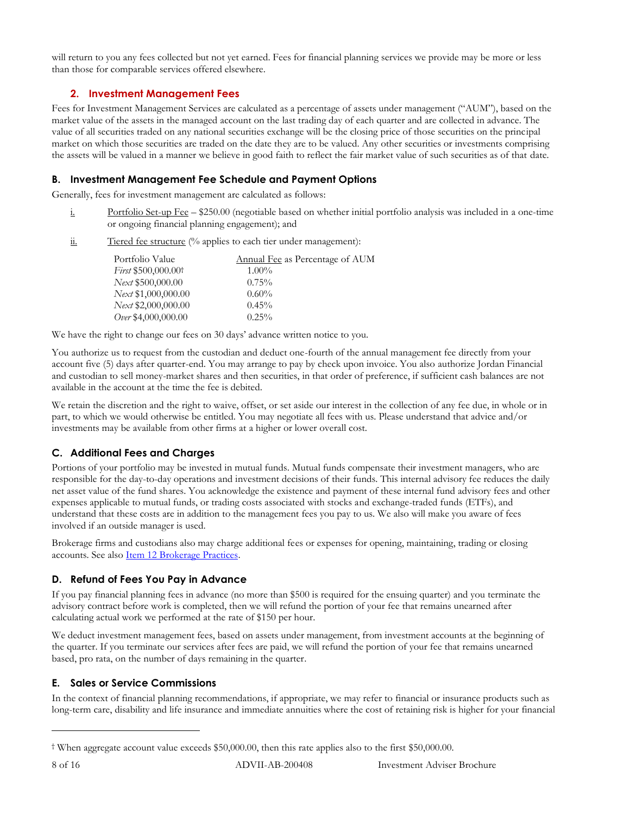will return to you any fees collected but not yet earned. Fees for financial planning services we provide may be more or less than those for comparable services offered elsewhere.

## **2. Investment Management Fees**

Fees for Investment Management Services are calculated as a percentage of assets under management ("AUM"), based on the market value of the assets in the managed account on the last trading day of each quarter and are collected in advance. The value of all securities traded on any national securities exchange will be the closing price of those securities on the principal market on which those securities are traded on the date they are to be valued. Any other securities or investments comprising the assets will be valued in a manner we believe in good faith to reflect the fair market value of such securities as of that date.

#### <span id="page-7-0"></span>**B. Investment Management Fee Schedule and Payment Options**

Generally, fees for investment management are calculated as follows:

- i. Portfolio Set-up Fee \$250.00 (negotiable based on whether initial portfolio analysis was included in a one-time or ongoing financial planning engagement); and
- $\underline{\text{ii}}$ . Tiered fee structure (% applies to each tier under management):

| Portfolio Value                 | <b>Annual Fee as Percentage of AUM</b> |
|---------------------------------|----------------------------------------|
| First \$500,000.00 <sup>†</sup> | $1.00\%$                               |
| Next \$500,000.00               | $0.75\%$                               |
| Next \$1,000,000.00             | $0.60\%$                               |
| Next \$2,000,000.00             | $0.45\%$                               |
| Over \$4,000,000.00             | $0.25\%$                               |

We have the right to change our fees on 30 days' advance written notice to you.

You authorize us to request from the custodian and deduct one-fourth of the annual management fee directly from your account five (5) days after quarter-end. You may arrange to pay by check upon invoice. You also authorize Jordan Financial and custodian to sell money-market shares and then securities, in that order of preference, if sufficient cash balances are not available in the account at the time the fee is debited.

We retain the discretion and the right to waive, offset, or set aside our interest in the collection of any fee due, in whole or in part, to which we would otherwise be entitled. You may negotiate all fees with us. Please understand that advice and/or investments may be available from other firms at a higher or lower overall cost.

## **C. Additional Fees and Charges**

Portions of your portfolio may be invested in mutual funds. Mutual funds compensate their investment managers, who are responsible for the day-to-day operations and investment decisions of their funds. This internal advisory fee reduces the daily net asset value of the fund shares. You acknowledge the existence and payment of these internal fund advisory fees and other expenses applicable to mutual funds, or trading costs associated with stocks and exchange-traded funds (ETFs), and understand that these costs are in addition to the management fees you pay to us. We also will make you aware of fees involved if an outside manager is used.

Brokerage firms and custodians also may charge additional fees or expenses for opening, maintaining, trading or closing accounts. See also Item 12 [Brokerage Practices.](#page-10-0)

## **D. Refund of Fees You Pay in Advance**

If you pay financial planning fees in advance (no more than \$500 is required for the ensuing quarter) and you terminate the advisory contract before work is completed, then we will refund the portion of your fee that remains unearned after calculating actual work we performed at the rate of \$150 per hour.

We deduct investment management fees, based on assets under management, from investment accounts at the beginning of the quarter. If you terminate our services after fees are paid, we will refund the portion of your fee that remains unearned based, pro rata, on the number of days remaining in the quarter.

## <span id="page-7-1"></span>**E. Sales or Service Commissions**

In the context of financial planning recommendations, if appropriate, we may refer to financial or insurance products such as long-term care, disability and life insurance and immediate annuities where the cost of retaining risk is higher for your financial

<sup>†</sup> When aggregate account value exceeds \$50,000.00, then this rate applies also to the first \$50,000.00.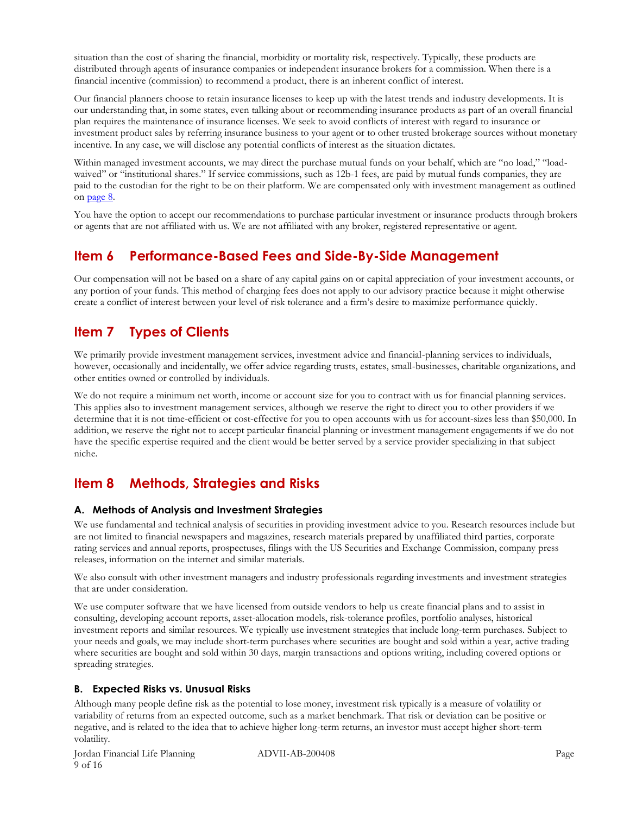situation than the cost of sharing the financial, morbidity or mortality risk, respectively. Typically, these products are distributed through agents of insurance companies or independent insurance brokers for a commission. When there is a financial incentive (commission) to recommend a product, there is an inherent conflict of interest.

Our financial planners choose to retain insurance licenses to keep up with the latest trends and industry developments. It is our understanding that, in some states, even talking about or recommending insurance products as part of an overall financial plan requires the maintenance of insurance licenses. We seek to avoid conflicts of interest with regard to insurance or investment product sales by referring insurance business to your agent or to other trusted brokerage sources without monetary incentive. In any case, we will disclose any potential conflicts of interest as the situation dictates.

Within managed investment accounts, we may direct the purchase mutual funds on your behalf, which are "no load," "loadwaived" or "institutional shares." If service commissions, such as 12b-1 fees, are paid by mutual funds companies, they are paid to the custodian for the right to be on their platform. We are compensated only with investment management as outlined o[n page 8.](#page-7-0)

You have the option to accept our recommendations to purchase particular investment or insurance products through brokers or agents that are not affiliated with us. We are not affiliated with any broker, registered representative or agent.

## **Item 6 Performance-Based Fees and Side-By-Side Management**

Our compensation will not be based on a share of any capital gains on or capital appreciation of your investment accounts, or any portion of your funds. This method of charging fees does not apply to our advisory practice because it might otherwise create a conflict of interest between your level of risk tolerance and a firm's desire to maximize performance quickly.

## **Item 7 Types of Clients**

We primarily provide investment management services, investment advice and financial-planning services to individuals, however, occasionally and incidentally, we offer advice regarding trusts, estates, small-businesses, charitable organizations, and other entities owned or controlled by individuals.

We do not require a minimum net worth, income or account size for you to contract with us for financial planning services. This applies also to investment management services, although we reserve the right to direct you to other providers if we determine that it is not time-efficient or cost-effective for you to open accounts with us for account-sizes less than \$50,000. In addition, we reserve the right not to accept particular financial planning or investment management engagements if we do not have the specific expertise required and the client would be better served by a service provider specializing in that subject niche.

## **Item 8 Methods, Strategies and Risks**

## **A. Methods of Analysis and Investment Strategies**

We use fundamental and technical analysis of securities in providing investment advice to you. Research resources include but are not limited to financial newspapers and magazines, research materials prepared by unaffiliated third parties, corporate rating services and annual reports, prospectuses, filings with the US Securities and Exchange Commission, company press releases, information on the internet and similar materials.

We also consult with other investment managers and industry professionals regarding investments and investment strategies that are under consideration.

We use computer software that we have licensed from outside vendors to help us create financial plans and to assist in consulting, developing account reports, asset-allocation models, risk-tolerance profiles, portfolio analyses, historical investment reports and similar resources. We typically use investment strategies that include long-term purchases. Subject to your needs and goals, we may include short-term purchases where securities are bought and sold within a year, active trading where securities are bought and sold within 30 days, margin transactions and options writing, including covered options or spreading strategies.

## **B. Expected Risks vs. Unusual Risks**

Although many people define risk as the potential to lose money, investment risk typically is a measure of volatility or variability of returns from an expected outcome, such as a market benchmark. That risk or deviation can be positive or negative, and is related to the idea that to achieve higher long-term returns, an investor must accept higher short-term volatility.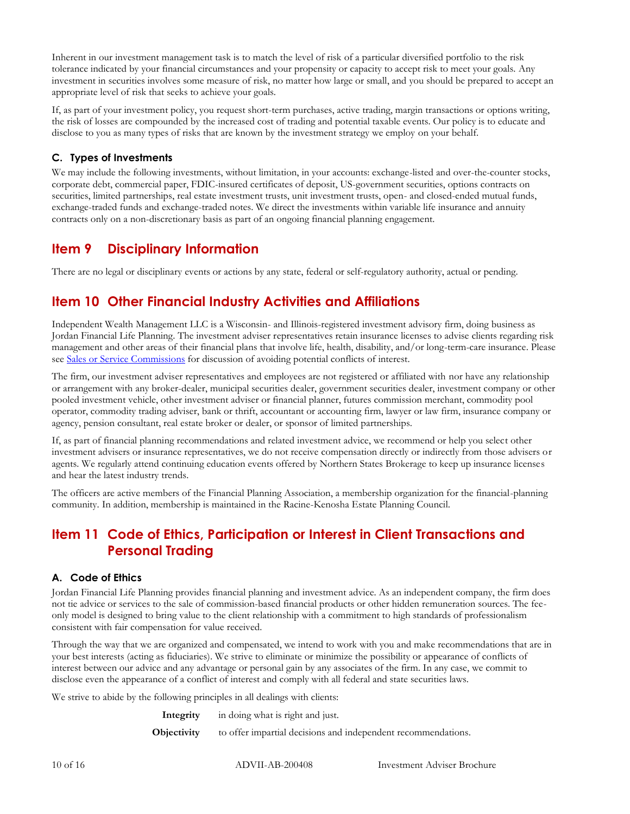Inherent in our investment management task is to match the level of risk of a particular diversified portfolio to the risk tolerance indicated by your financial circumstances and your propensity or capacity to accept risk to meet your goals. Any investment in securities involves some measure of risk, no matter how large or small, and you should be prepared to accept an appropriate level of risk that seeks to achieve your goals.

If, as part of your investment policy, you request short-term purchases, active trading, margin transactions or options writing, the risk of losses are compounded by the increased cost of trading and potential taxable events. Our policy is to educate and disclose to you as many types of risks that are known by the investment strategy we employ on your behalf.

## <span id="page-9-0"></span>**C. Types of Investments**

We may include the following investments, without limitation, in your accounts: exchange-listed and over-the-counter stocks, corporate debt, commercial paper, FDIC-insured certificates of deposit, US-government securities, options contracts on securities, limited partnerships, real estate investment trusts, unit investment trusts, open- and closed-ended mutual funds, exchange-traded funds and exchange-traded notes. We direct the investments within variable life insurance and annuity contracts only on a non-discretionary basis as part of an ongoing financial planning engagement.

## **Item 9 Disciplinary Information**

There are no legal or disciplinary events or actions by any state, federal or self-regulatory authority, actual or pending.

## **Item 10 Other Financial Industry Activities and Affiliations**

Independent Wealth Management LLC is a Wisconsin- and Illinois-registered investment advisory firm, doing business as Jordan Financial Life Planning. The investment adviser representatives retain insurance licenses to advise clients regarding risk management and other areas of their financial plans that involve life, health, disability, and/or long-term-care insurance. Please see [Sales or Service Commissions](#page-7-1) for discussion of avoiding potential conflicts of interest.

The firm, our investment adviser representatives and employees are not registered or affiliated with nor have any relationship or arrangement with any broker-dealer, municipal securities dealer, government securities dealer, investment company or other pooled investment vehicle, other investment adviser or financial planner, futures commission merchant, commodity pool operator, commodity trading adviser, bank or thrift, accountant or accounting firm, lawyer or law firm, insurance company or agency, pension consultant, real estate broker or dealer, or sponsor of limited partnerships.

If, as part of financial planning recommendations and related investment advice, we recommend or help you select other investment advisers or insurance representatives, we do not receive compensation directly or indirectly from those advisers or agents. We regularly attend continuing education events offered by Northern States Brokerage to keep up insurance licenses and hear the latest industry trends.

The officers are active members of the Financial Planning Association, a membership organization for the financial-planning community. In addition, membership is maintained in the Racine-Kenosha Estate Planning Council.

## **Item 11 Code of Ethics, Participation or Interest in Client Transactions and Personal Trading**

## **A. Code of Ethics**

Jordan Financial Life Planning provides financial planning and investment advice. As an independent company, the firm does not tie advice or services to the sale of commission-based financial products or other hidden remuneration sources. The feeonly model is designed to bring value to the client relationship with a commitment to high standards of professionalism consistent with fair compensation for value received.

Through the way that we are organized and compensated, we intend to work with you and make recommendations that are in your best interests (acting as fiduciaries). We strive to eliminate or minimize the possibility or appearance of conflicts of interest between our advice and any advantage or personal gain by any associates of the firm. In any case, we commit to disclose even the appearance of a conflict of interest and comply with all federal and state securities laws.

We strive to abide by the following principles in all dealings with clients:

| Integrity   | in doing what is right and just.                              |
|-------------|---------------------------------------------------------------|
| Objectivity | to offer impartial decisions and independent recommendations. |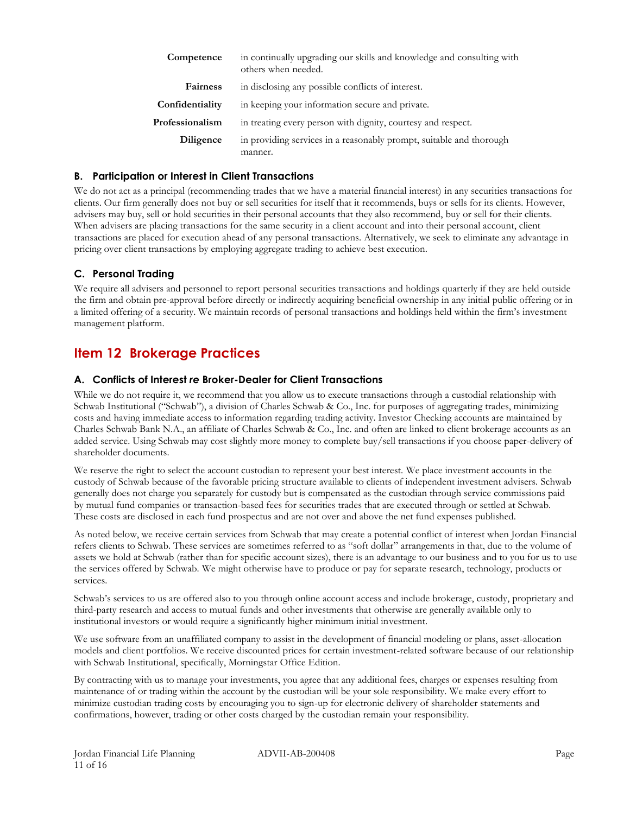| Competence      | in continually upgrading our skills and knowledge and consulting with<br>others when needed. |
|-----------------|----------------------------------------------------------------------------------------------|
| <b>Fairness</b> | in disclosing any possible conflicts of interest.                                            |
| Confidentiality | in keeping your information secure and private.                                              |
| Professionalism | in treating every person with dignity, courtesy and respect.                                 |
| Diligence       | in providing services in a reasonably prompt, suitable and thorough<br>manner.               |

#### **B. Participation or Interest in Client Transactions**

We do not act as a principal (recommending trades that we have a material financial interest) in any securities transactions for clients. Our firm generally does not buy or sell securities for itself that it recommends, buys or sells for its clients. However, advisers may buy, sell or hold securities in their personal accounts that they also recommend, buy or sell for their clients. When advisers are placing transactions for the same security in a client account and into their personal account, client transactions are placed for execution ahead of any personal transactions. Alternatively, we seek to eliminate any advantage in pricing over client transactions by employing aggregate trading to achieve best execution.

## **C. Personal Trading**

We require all advisers and personnel to report personal securities transactions and holdings quarterly if they are held outside the firm and obtain pre-approval before directly or indirectly acquiring beneficial ownership in any initial public offering or in a limited offering of a security. We maintain records of personal transactions and holdings held within the firm's investment management platform.

## <span id="page-10-0"></span>**Item 12 Brokerage Practices**

#### **A. Conflicts of Interest** *re* **Broker-Dealer for Client Transactions**

While we do not require it, we recommend that you allow us to execute transactions through a custodial relationship with Schwab Institutional ("Schwab"), a division of Charles Schwab & Co., Inc. for purposes of aggregating trades, minimizing costs and having immediate access to information regarding trading activity. Investor Checking accounts are maintained by Charles Schwab Bank N.A., an affiliate of Charles Schwab & Co., Inc. and often are linked to client brokerage accounts as an added service. Using Schwab may cost slightly more money to complete buy/sell transactions if you choose paper-delivery of shareholder documents.

We reserve the right to select the account custodian to represent your best interest. We place investment accounts in the custody of Schwab because of the favorable pricing structure available to clients of independent investment advisers. Schwab generally does not charge you separately for custody but is compensated as the custodian through service commissions paid by mutual fund companies or transaction-based fees for securities trades that are executed through or settled at Schwab. These costs are disclosed in each fund prospectus and are not over and above the net fund expenses published.

As noted below, we receive certain services from Schwab that may create a potential conflict of interest when Jordan Financial refers clients to Schwab. These services are sometimes referred to as "soft dollar" arrangements in that, due to the volume of assets we hold at Schwab (rather than for specific account sizes), there is an advantage to our business and to you for us to use the services offered by Schwab. We might otherwise have to produce or pay for separate research, technology, products or services.

Schwab's services to us are offered also to you through online account access and include brokerage, custody, proprietary and third-party research and access to mutual funds and other investments that otherwise are generally available only to institutional investors or would require a significantly higher minimum initial investment.

We use software from an unaffiliated company to assist in the development of financial modeling or plans, asset-allocation models and client portfolios. We receive discounted prices for certain investment-related software because of our relationship with Schwab Institutional, specifically, Morningstar Office Edition.

By contracting with us to manage your investments, you agree that any additional fees, charges or expenses resulting from maintenance of or trading within the account by the custodian will be your sole responsibility. We make every effort to minimize custodian trading costs by encouraging you to sign-up for electronic delivery of shareholder statements and confirmations, however, trading or other costs charged by the custodian remain your responsibility.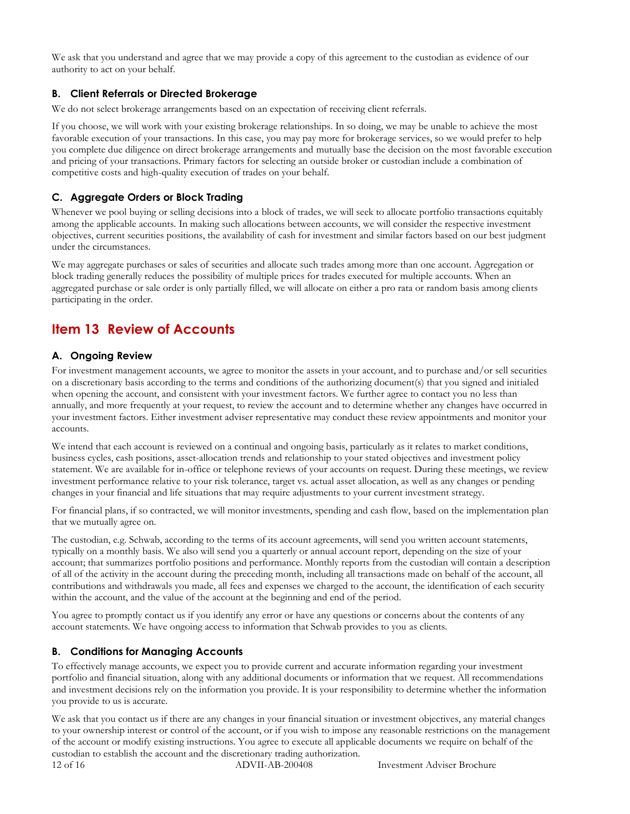We ask that you understand and agree that we may provide a copy of this agreement to the custodian as evidence of our authority to act on your behalf.

## **B. Client Referrals or Directed Brokerage**

We do not select brokerage arrangements based on an expectation of receiving client referrals.

If you choose, we will work with your existing brokerage relationships. In so doing, we may be unable to achieve the most favorable execution of your transactions. In this case, you may pay more for brokerage services, so we would prefer to help you complete due diligence on direct brokerage arrangements and mutually base the decision on the most favorable execution and pricing of your transactions. Primary factors for selecting an outside broker or custodian include a combination of competitive costs and high-quality execution of trades on your behalf.

## **C. Aggregate Orders or Block Trading**

Whenever we pool buying or selling decisions into a block of trades, we will seek to allocate portfolio transactions equitably among the applicable accounts. In making such allocations between accounts, we will consider the respective investment objectives, current securities positions, the availability of cash for investment and similar factors based on our best judgment under the circumstances.

We may aggregate purchases or sales of securities and allocate such trades among more than one account. Aggregation or block trading generally reduces the possibility of multiple prices for trades executed for multiple accounts. When an aggregated purchase or sale order is only partially filled, we will allocate on either a pro rata or random basis among clients participating in the order.

## **Item 13 Review of Accounts**

## **A. Ongoing Review**

For investment management accounts, we agree to monitor the assets in your account, and to purchase and/or sell securities on a discretionary basis according to the terms and conditions of the authorizing document(s) that you signed and initialed when opening the account, and consistent with your investment factors. We further agree to contact you no less than annually, and more frequently at your request, to review the account and to determine whether any changes have occurred in your investment factors. Either investment adviser representative may conduct these review appointments and monitor your accounts.

We intend that each account is reviewed on a continual and ongoing basis, particularly as it relates to market conditions, business cycles, cash positions, asset-allocation trends and relationship to your stated objectives and investment policy statement. We are available for in-office or telephone reviews of your accounts on request. During these meetings, we review investment performance relative to your risk tolerance, target vs. actual asset allocation, as well as any changes or pending changes in your financial and life situations that may require adjustments to your current investment strategy.

For financial plans, if so contracted, we will monitor investments, spending and cash flow, based on the implementation plan that we mutually agree on.

The custodian, e.g. Schwab, according to the terms of its account agreements, will send you written account statements, typically on a monthly basis. We also will send you a quarterly or annual account report, depending on the size of your account; that summarizes portfolio positions and performance. Monthly reports from the custodian will contain a description of all of the activity in the account during the preceding month, including all transactions made on behalf of the account, all contributions and withdrawals you made, all fees and expenses we charged to the account, the identification of each security within the account, and the value of the account at the beginning and end of the period.

You agree to promptly contact us if you identify any error or have any questions or concerns about the contents of any account statements. We have ongoing access to information that Schwab provides to you as clients.

## **B. Conditions for Managing Accounts**

To effectively manage accounts, we expect you to provide current and accurate information regarding your investment portfolio and financial situation, along with any additional documents or information that we request. All recommendations and investment decisions rely on the information you provide. It is your responsibility to determine whether the information you provide to us is accurate.

We ask that you contact us if there are any changes in your financial situation or investment objectives, any material changes to your ownership interest or control of the account, or if you wish to impose any reasonable restrictions on the management of the account or modify existing instructions. You agree to execute all applicable documents we require on behalf of the custodian to establish the account and the discretionary trading authorization.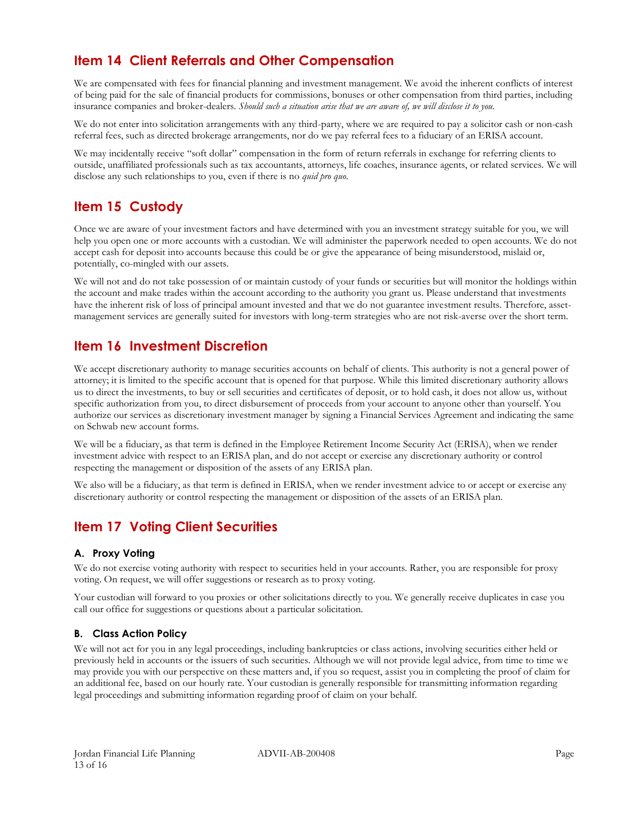## **Item 14 Client Referrals and Other Compensation**

We are compensated with fees for financial planning and investment management. We avoid the inherent conflicts of interest of being paid for the sale of financial products for commissions, bonuses or other compensation from third parties, including insurance companies and broker-dealers. *Should such a situation arise that we are aware of, we will disclose it to you.*

We do not enter into solicitation arrangements with any third-party, where we are required to pay a solicitor cash or non-cash referral fees, such as directed brokerage arrangements, nor do we pay referral fees to a fiduciary of an ERISA account.

We may incidentally receive "soft dollar" compensation in the form of return referrals in exchange for referring clients to outside, unaffiliated professionals such as tax accountants, attorneys, life coaches, insurance agents, or related services. We will disclose any such relationships to you, even if there is no *quid pro quo*.

## **Item 15 Custody**

Once we are aware of your investment factors and have determined with you an investment strategy suitable for you, we will help you open one or more accounts with a custodian. We will administer the paperwork needed to open accounts. We do not accept cash for deposit into accounts because this could be or give the appearance of being misunderstood, mislaid or, potentially, co-mingled with our assets.

We will not and do not take possession of or maintain custody of your funds or securities but will monitor the holdings within the account and make trades within the account according to the authority you grant us. Please understand that investments have the inherent risk of loss of principal amount invested and that we do not guarantee investment results. Therefore, assetmanagement services are generally suited for investors with long-term strategies who are not risk-averse over the short term.

## **Item 16 Investment Discretion**

We accept discretionary authority to manage securities accounts on behalf of clients. This authority is not a general power of attorney; it is limited to the specific account that is opened for that purpose. While this limited discretionary authority allows us to direct the investments, to buy or sell securities and certificates of deposit, or to hold cash, it does not allow us, without specific authorization from you, to direct disbursement of proceeds from your account to anyone other than yourself. You authorize our services as discretionary investment manager by signing a Financial Services Agreement and indicating the same on Schwab new account forms.

We will be a fiduciary, as that term is defined in the Employee Retirement Income Security Act (ERISA), when we render investment advice with respect to an ERISA plan, and do not accept or exercise any discretionary authority or control respecting the management or disposition of the assets of any ERISA plan.

We also will be a fiduciary, as that term is defined in ERISA, when we render investment advice to or accept or exercise any discretionary authority or control respecting the management or disposition of the assets of an ERISA plan.

## **Item 17 Voting Client Securities**

## **A. Proxy Voting**

We do not exercise voting authority with respect to securities held in your accounts. Rather, you are responsible for proxy voting. On request, we will offer suggestions or research as to proxy voting.

Your custodian will forward to you proxies or other solicitations directly to you. We generally receive duplicates in case you call our office for suggestions or questions about a particular solicitation.

## **B. Class Action Policy**

We will not act for you in any legal proceedings, including bankruptcies or class actions, involving securities either held or previously held in accounts or the issuers of such securities. Although we will not provide legal advice, from time to time we may provide you with our perspective on these matters and, if you so request, assist you in completing the proof of claim for an additional fee, based on our hourly rate. Your custodian is generally responsible for transmitting information regarding legal proceedings and submitting information regarding proof of claim on your behalf.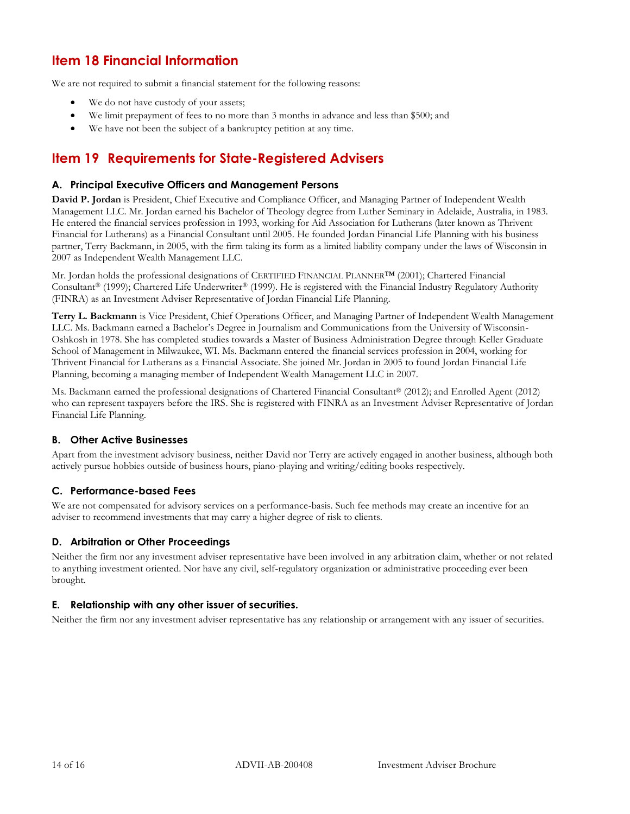## **Item 18 Financial Information**

We are not required to submit a financial statement for the following reasons:

- We do not have custody of your assets;
- We limit prepayment of fees to no more than 3 months in advance and less than \$500; and
- We have not been the subject of a bankruptcy petition at any time.

## **Item 19 Requirements for State-Registered Advisers**

## **A. Principal Executive Officers and Management Persons**

**David P. Jordan** is President, Chief Executive and Compliance Officer, and Managing Partner of Independent Wealth Management LLC. Mr. Jordan earned his Bachelor of Theology degree from Luther Seminary in Adelaide, Australia, in 1983. He entered the financial services profession in 1993, working for Aid Association for Lutherans (later known as Thrivent Financial for Lutherans) as a Financial Consultant until 2005. He founded Jordan Financial Life Planning with his business partner, Terry Backmann, in 2005, with the firm taking its form as a limited liability company under the laws of Wisconsin in 2007 as Independent Wealth Management LLC.

Mr. Jordan holds the professional designations of CERTIFIED FINANCIAL PLANNER™ (2001); Chartered Financial Consultant® (1999); Chartered Life Underwriter® (1999). He is registered with the Financial Industry Regulatory Authority (FINRA) as an Investment Adviser Representative of Jordan Financial Life Planning.

**Terry L. Backmann** is Vice President, Chief Operations Officer, and Managing Partner of Independent Wealth Management LLC. Ms. Backmann earned a Bachelor's Degree in Journalism and Communications from the University of Wisconsin-Oshkosh in 1978. She has completed studies towards a Master of Business Administration Degree through Keller Graduate School of Management in Milwaukee, WI. Ms. Backmann entered the financial services profession in 2004, working for Thrivent Financial for Lutherans as a Financial Associate. She joined Mr. Jordan in 2005 to found Jordan Financial Life Planning, becoming a managing member of Independent Wealth Management LLC in 2007.

Ms. Backmann earned the professional designations of Chartered Financial Consultant® (2012); and Enrolled Agent (2012) who can represent taxpayers before the IRS. She is registered with FINRA as an Investment Adviser Representative of Jordan Financial Life Planning.

## **B. Other Active Businesses**

Apart from the investment advisory business, neither David nor Terry are actively engaged in another business, although both actively pursue hobbies outside of business hours, piano-playing and writing/editing books respectively.

## **C. Performance-based Fees**

We are not compensated for advisory services on a performance-basis. Such fee methods may create an incentive for an adviser to recommend investments that may carry a higher degree of risk to clients.

## **D. Arbitration or Other Proceedings**

Neither the firm nor any investment adviser representative have been involved in any arbitration claim, whether or not related to anything investment oriented. Nor have any civil, self-regulatory organization or administrative proceeding ever been brought.

## **E. Relationship with any other issuer of securities.**

Neither the firm nor any investment adviser representative has any relationship or arrangement with any issuer of securities.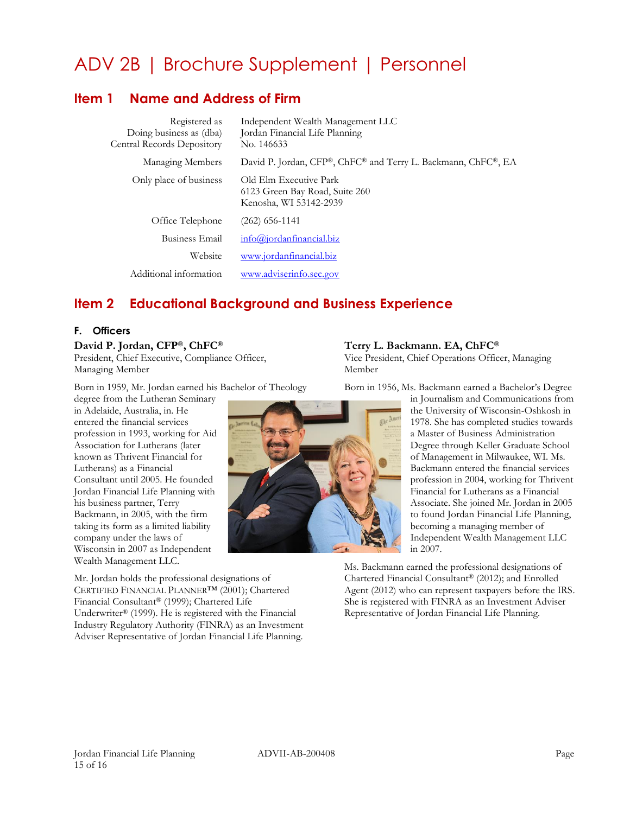# ADV 2B | Brochure Supplement | Personnel

## <span id="page-14-0"></span>**Item 1 Name and Address of Firm**

| Registered as<br>Doing business as (dba)<br>Central Records Depository | Independent Wealth Management LLC<br>Jordan Financial Life Planning<br>No. 146633  |
|------------------------------------------------------------------------|------------------------------------------------------------------------------------|
| Managing Members                                                       | David P. Jordan, CFP®, ChFC® and Terry L. Backmann, ChFC®, EA                      |
| Only place of business                                                 | Old Elm Executive Park<br>6123 Green Bay Road, Suite 260<br>Kenosha, WI 53142-2939 |
| Office Telephone                                                       | $(262)$ 656-1141                                                                   |
| Business Email                                                         | info@jordanfinancial.biz                                                           |
| Website                                                                | www.jordanfinancial.biz                                                            |
| Additional information                                                 | www.adviserinfo.sec.gov                                                            |

## **Item 2 Educational Background and Business Experience**

#### **F. Officers**

#### **David P. Jordan, CFP®, ChFC®**

President, Chief Executive, Compliance Officer, Managing Member

Born in 1959, Mr. Jordan earned his Bachelor of Theology

degree from the Lutheran Seminary in Adelaide, Australia, in. He entered the financial services profession in 1993, working for Aid Association for Lutherans (later known as Thrivent Financial for Lutherans) as a Financial Consultant until 2005. He founded Jordan Financial Life Planning with his business partner, Terry Backmann, in 2005, with the firm taking its form as a limited liability company under the laws of Wisconsin in 2007 as Independent Wealth Management LLC.

Mr. Jordan holds the professional designations of CERTIFIED FINANCIAL PLANNER™ (2001); Chartered Financial Consultant® (1999); Chartered Life Underwriter® (1999). He is registered with the Financial Industry Regulatory Authority (FINRA) as an Investment Adviser Representative of Jordan Financial Life Planning.

## **Terry L. Backmann. EA, ChFC®**

Vice President, Chief Operations Officer, Managing Member

Born in 1956, Ms. Backmann earned a Bachelor's Degree

in Journalism and Communications from the University of Wisconsin-Oshkosh in 1978. She has completed studies towards a Master of Business Administration Degree through Keller Graduate School of Management in Milwaukee, WI. Ms. Backmann entered the financial services profession in 2004, working for Thrivent Financial for Lutherans as a Financial Associate. She joined Mr. Jordan in 2005 to found Jordan Financial Life Planning, becoming a managing member of Independent Wealth Management LLC in 2007.

Ms. Backmann earned the professional designations of Chartered Financial Consultant® (2012); and Enrolled Agent (2012) who can represent taxpayers before the IRS. She is registered with FINRA as an Investment Adviser Representative of Jordan Financial Life Planning.